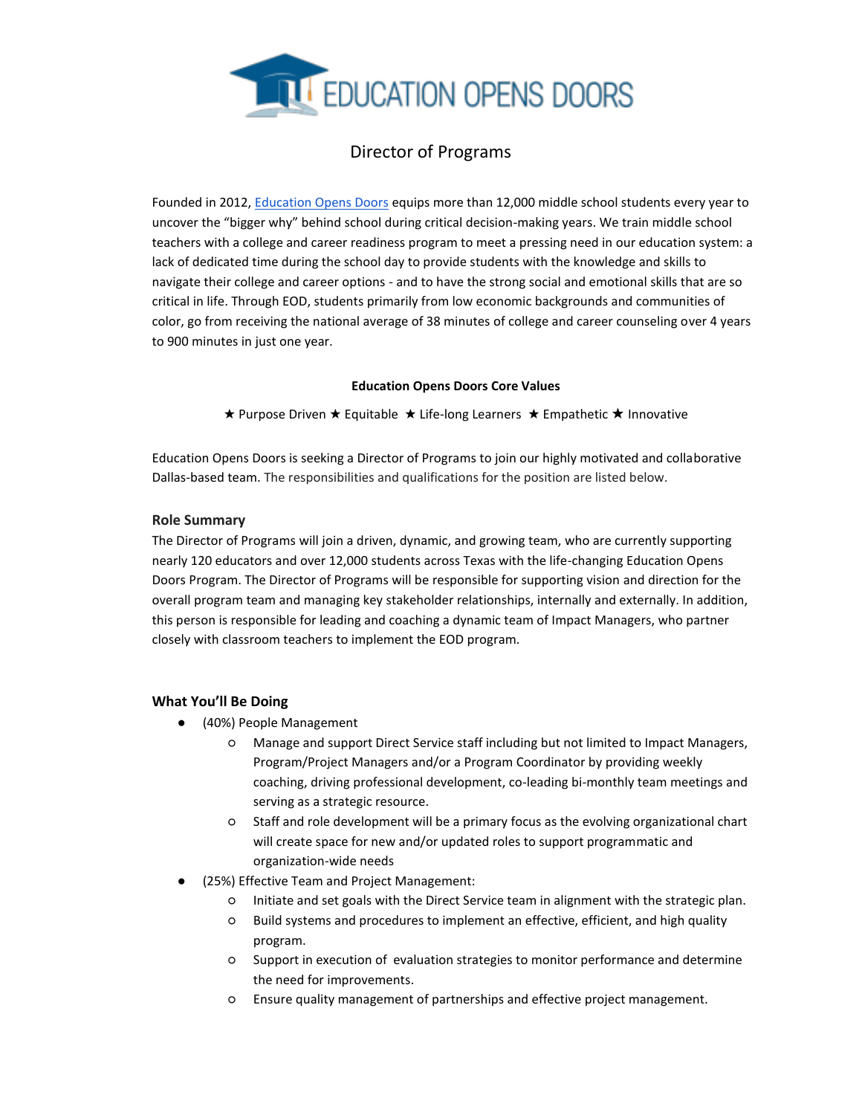

# Director of Programs

Founded in 2012, [Education Opens Doors](https://educationopensdoors.org/) equips more than 12,000 middle school students every year to uncover the "bigger why" behind school during critical decision-making years. We train middle school teachers with a college and career readiness program to meet a pressing need in our education system: a lack of dedicated time during the school day to provide students with the knowledge and skills to navigate their college and career options - and to have the strong social and emotional skills that are so critical in life. Through EOD, students primarily from low economic backgrounds and communities of color, go from receiving the national average of 38 minutes of college and career counseling over 4 years to 900 minutes in just one year.

### **Education Opens Doors Core Values**

★ Purpose Driven ★ Equitable ★ Life-long Learners ★ Empathetic ★ Innovative

Education Opens Doors is seeking a Director of Programs to join our highly motivated and collaborative Dallas-based team. The responsibilities and qualifications for the position are listed below.

## **Role Summary**

The Director of Programs will join a driven, dynamic, and growing team, who are currently supporting nearly 120 educators and over 12,000 students across Texas with the life-changing Education Opens Doors Program. The Director of Programs will be responsible for supporting vision and direction for the overall program team and managing key stakeholder relationships, internally and externally. In addition, this person is responsible for leading and coaching a dynamic team of Impact Managers, who partner closely with classroom teachers to implement the EOD program.

## **What You'll Be Doing**

- (40%) People Management
	- Manage and support Direct Service staff including but not limited to Impact Managers, Program/Project Managers and/or a Program Coordinator by providing weekly coaching, driving professional development, co-leading bi-monthly team meetings and serving as a strategic resource.
	- Staff and role development will be a primary focus as the evolving organizational chart will create space for new and/or updated roles to support programmatic and organization-wide needs
- (25%) Effective Team and Project Management:
	- Initiate and set goals with the Direct Service team in alignment with the strategic plan.
	- Build systems and procedures to implement an effective, efficient, and high quality program.
	- Support in execution of evaluation strategies to monitor performance and determine the need for improvements.
	- Ensure quality management of partnerships and effective project management.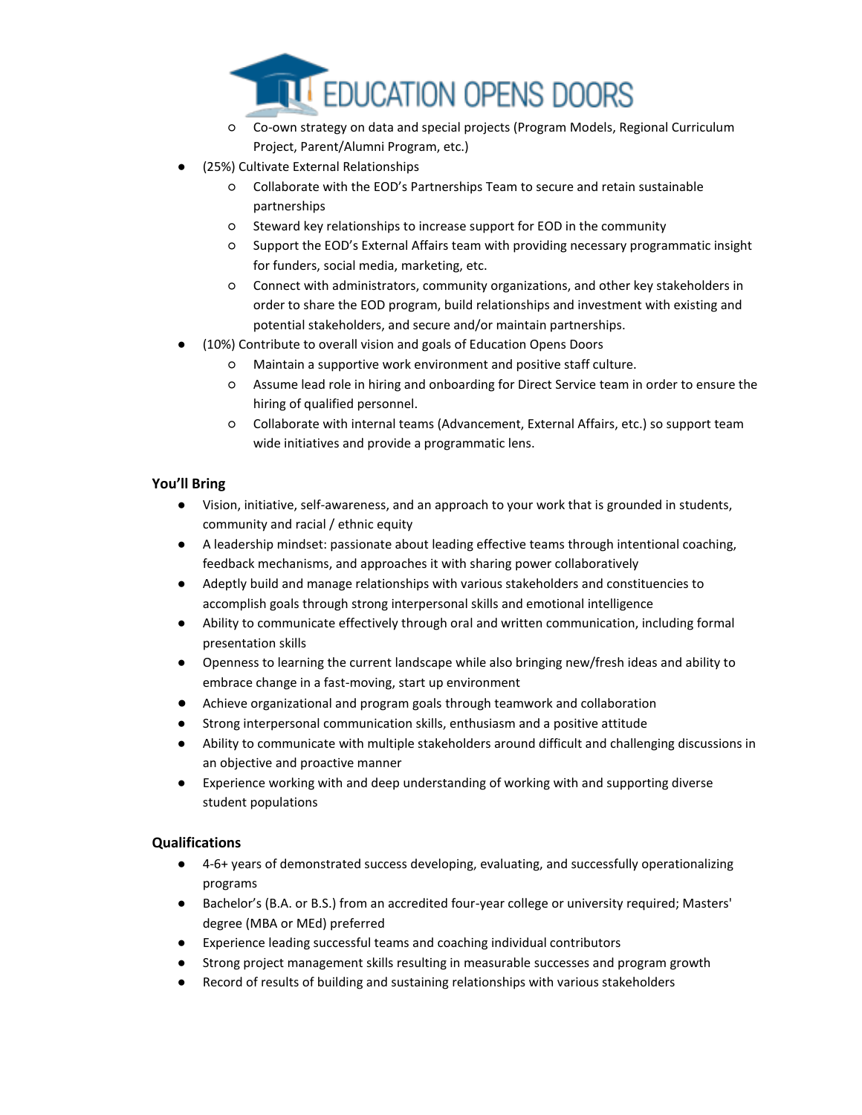

- Co-own strategy on data and special projects (Program Models, Regional Curriculum Project, Parent/Alumni Program, etc.)
- (25%) Cultivate External Relationships
	- Collaborate with the EOD's Partnerships Team to secure and retain sustainable partnerships
	- Steward key relationships to increase support for EOD in the community
	- Support the EOD's External Affairs team with providing necessary programmatic insight for funders, social media, marketing, etc.
	- Connect with administrators, community organizations, and other key stakeholders in order to share the EOD program, build relationships and investment with existing and potential stakeholders, and secure and/or maintain partnerships.
- (10%) Contribute to overall vision and goals of Education Opens Doors
	- Maintain a supportive work environment and positive staff culture.
	- Assume lead role in hiring and onboarding for Direct Service team in order to ensure the hiring of qualified personnel.
	- Collaborate with internal teams (Advancement, External Affairs, etc.) so support team wide initiatives and provide a programmatic lens.

## **You'll Bring**

- Vision, initiative, self-awareness, and an approach to your work that is grounded in students, community and racial / ethnic equity
- A leadership mindset: passionate about leading effective teams through intentional coaching, feedback mechanisms, and approaches it with sharing power collaboratively
- Adeptly build and manage relationships with various stakeholders and constituencies to accomplish goals through strong interpersonal skills and emotional intelligence
- Ability to communicate effectively through oral and written communication, including formal presentation skills
- Openness to learning the current landscape while also bringing new/fresh ideas and ability to embrace change in a fast-moving, start up environment
- Achieve organizational and program goals through teamwork and collaboration
- Strong interpersonal communication skills, enthusiasm and a positive attitude
- Ability to communicate with multiple stakeholders around difficult and challenging discussions in an objective and proactive manner
- Experience working with and deep understanding of working with and supporting diverse student populations

### **Qualifications**

- 4-6+ years of demonstrated success developing, evaluating, and successfully operationalizing programs
- Bachelor's (B.A. or B.S.) from an accredited four-year college or university required; Masters' degree (MBA or MEd) preferred
- Experience leading successful teams and coaching individual contributors
- Strong project management skills resulting in measurable successes and program growth
- Record of results of building and sustaining relationships with various stakeholders